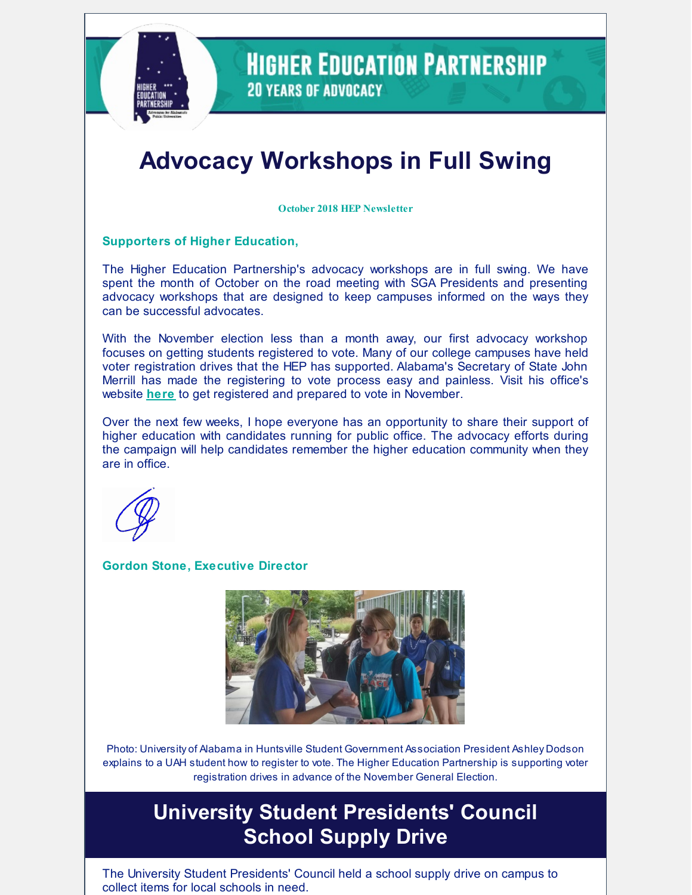

**HIGHER EDUCATION PARTNERSHIP 20 YEARS OF ADVOCACY** 

# **Advocacy Workshops in Full Swing**

**October 2018 HEP Newsletter**

#### **Supporters of Higher Education,**

The Higher Education Partnership's advocacy workshops are in full swing. We have spent the month of October on the road meeting with SGA Presidents and presenting advocacy workshops that are designed to keep campuses informed on the ways they can be successful advocates.

With the November election less than a month away, our first advocacy workshop focuses on getting students registered to vote. Many of our college campuses have held voter registration drives that the HEP has supported. Alabama's Secretary of State John Merrill has made the registering to vote process easy and painless. Visit his office's website **[here](https://sos.alabama.gov/alabama-votes/voter/register-to-vote)** to get registered and prepared to vote in November.

Over the next few weeks, I hope everyone has an opportunity to share their support of higher education with candidates running for public office. The advocacy efforts during the campaign will help candidates remember the higher education community when they are in office.



#### **Gordon Stone, Executive Director**



Photo: University of Alabama in Huntsville Student Government Association President Ashley Dodson explains to a UAH student how to register to vote. The Higher Education Partnership is supporting voter registration drives in advance of the November General Election.

## **University Student Presidents' Council School Supply Drive**

The University Student Presidents' Council held a school supply drive on campus to collect items for local schools in need.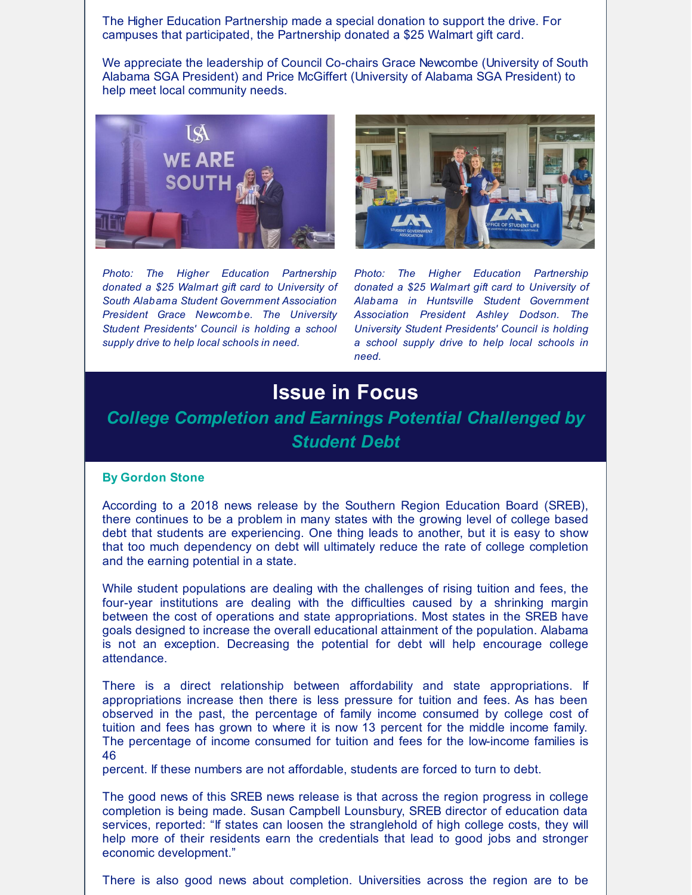The Higher Education Partnership made a special donation to support the drive. For campuses that participated, the Partnership donated a \$25 Walmart gift card.

We appreciate the leadership of Council Co-chairs Grace Newcombe (University of South Alabama SGA President) and Price McGiffert (University of Alabama SGA President) to help meet local community needs.



*Photo: The Higher Education Partnership donated a \$25 Walmart gift card to University of South Alabama Student Government Association President Grace Newcombe. The University Student Presidents' Council is holding a school supply drive to help local schools in need.*



*Photo: The Higher Education Partnership donated a \$25 Walmart gift card to University of Alabama in Huntsville Student Government Association President Ashley Dodson. The University Student Presidents' Council is holding a school supply drive to help local schools in need.*

## **Issue in Focus**

### *College Completion and Earnings Potential Challenged by Student Debt*

#### **By Gordon Stone**

According to a 2018 news release by the Southern Region Education Board (SREB), there continues to be a problem in many states with the growing level of college based debt that students are experiencing. One thing leads to another, but it is easy to show that too much dependency on debt will ultimately reduce the rate of college completion and the earning potential in a state.

While student populations are dealing with the challenges of rising tuition and fees, the four-year institutions are dealing with the difficulties caused by a shrinking margin between the cost of operations and state appropriations. Most states in the SREB have goals designed to increase the overall educational attainment of the population. Alabama is not an exception. Decreasing the potential for debt will help encourage college attendance.

There is a direct relationship between affordability and state appropriations. If appropriations increase then there is less pressure for tuition and fees. As has been observed in the past, the percentage of family income consumed by college cost of tuition and fees has grown to where it is now 13 percent for the middle income family. The percentage of income consumed for tuition and fees for the low-income families is 46

percent. If these numbers are not affordable, students are forced to turn to debt.

The good news of this SREB news release is that across the region progress in college completion is being made. Susan Campbell Lounsbury, SREB director of education data services, reported: "If states can loosen the stranglehold of high college costs, they will help more of their residents earn the credentials that lead to good jobs and stronger economic development."

There is also good news about completion. Universities across the region are to be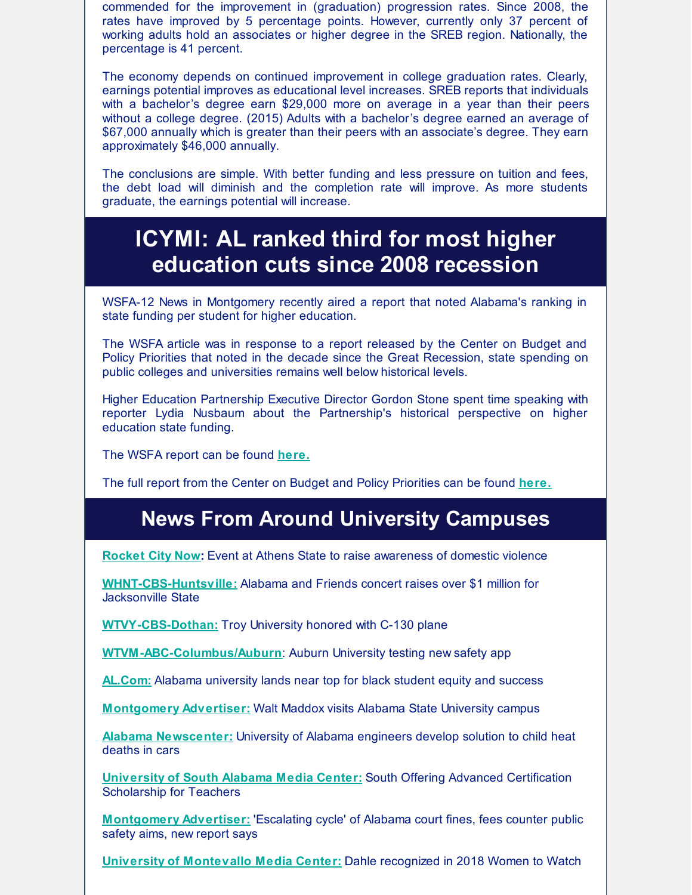commended for the improvement in (graduation) progression rates. Since 2008, the rates have improved by 5 percentage points. However, currently only 37 percent of working adults hold an associates or higher degree in the SREB region. Nationally, the percentage is 41 percent.

The economy depends on continued improvement in college graduation rates. Clearly, earnings potential improves as educational level increases. SREB reports that individuals with a bachelor's degree earn \$29,000 more on average in a year than their peers without a college degree. (2015) Adults with a bachelor's degree earned an average of \$67,000 annually which is greater than their peers with an associate's degree. They earn approximately \$46,000 annually.

The conclusions are simple. With better funding and less pressure on tuition and fees, the debt load will diminish and the completion rate will improve. As more students graduate, the earnings potential will increase.

## **ICYMI: AL ranked third for most higher education cuts since 2008 recession**

WSFA-12 News in Montgomery recently aired a report that noted Alabama's ranking in state funding per student for higher education.

The WSFA article was in response to a report released by the Center on Budget and Policy Priorities that noted in the decade since the Great Recession, state spending on public colleges and universities remains well below historical levels.

Higher Education Partnership Executive Director Gordon Stone spent time speaking with reporter Lydia Nusbaum about the Partnership's historical perspective on higher education state funding.

The WSFA report can be found **[here.](http://www.wsfa.com/2018/10/04/al-ranked-third-most-higher-education-cuts-since-recession/)**

The full report from the Center on Budget and Policy Priorities can be found **[here.](https://www.cbpp.org/research/state-budget-and-tax/unkept-promises-state-cuts-to-higher-education-threaten-access-and)**

## **News From Around University Campuses**

**[Rocket](https://www.rocketcitynow.com/news/event-at-athens-state-to-raise-awareness-of-domestic-violence/1508169476) City Now:** Event at Athens State to raise awareness of domestic violence

**[WHNT-CBS-Huntsville:](https://whnt.com/2018/09/27/alabama-and-friends-concert-raises-over-1-million-for-jacksonville-state/)** Alabama and Friends concert raises over \$1 million for Jacksonville State

**[WTVY-CBS-Dothan:](https://www.wtvy.com/station)** Troy University honored with C-130 plane

**[WTVM-ABC-Columbus/Auburn](https://www.wtvm.com/2018/10/08/auburn-university-testing-new-safety-app/)**: Auburn University testing new safety app

**[AL.Com:](https://www.al.com/news/index.ssf/2018/09/alabama_university_lands_near.html)** Alabama university lands near top for black student equity and success

**[Montgomery](https://www.montgomeryadvertiser.com/picture-gallery/news/politics/2018/10/03/walt-maddox-alabama-state-university-asu/1510718002/) Advertiser:** Walt Maddox visits Alabama State University campus

**Alabama [Newscenter:](https://www.alabamanewscenter.com/2018/10/09/university-of-alabama-engineers-develop-solution-to-child-heat-deaths-in-cars/)** University of Alabama engineers develop solution to child heat deaths in cars

**[University](http://www.southalabama.edu/departments/publicrelations/pressreleases/100218certification.html) of South Alabama Media Center:** South Offering Advanced Certification Scholarship for Teachers

**[Montgomery](https://www.montgomeryadvertiser.com/story/news/2018/10/10/alabama-appleseed-report-alabama-court-fines-fees-counter-public-safety-aims/1588291002/) Advertiser:** 'Escalating cycle' of Alabama court fines, fees counter public safety aims, new report says

**University of [Montevallo](https://www.montevallo.edu/dahle-women-to-watch/) Media Center:** Dahle recognized in 2018 Women to Watch